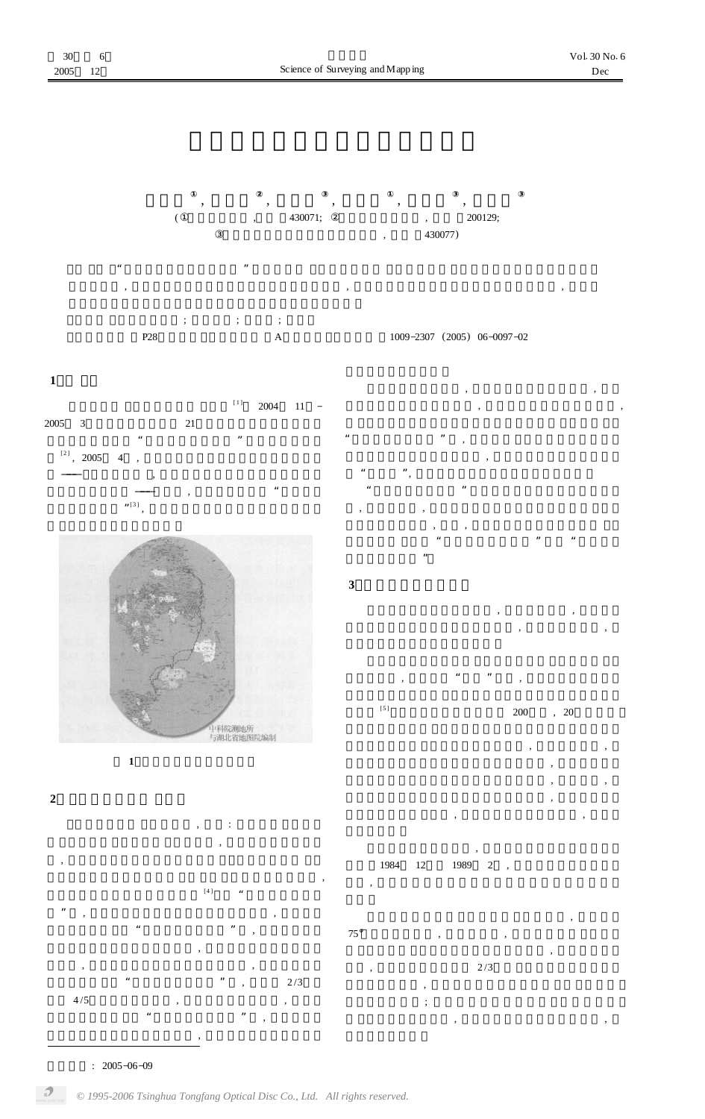











 $\mathbf{u}$  "  $\mathbf{v}$ "  $\mathbf{v}$ "  $\mathbf{v}$ 

 $\begin{array}{ccc} \cdots & & \cdots, \end{array}$ 

 $,$  , ,

, , , " " ,





, ,

:  $2005 - 06 - 09$ 

 $\boldsymbol{\mathcal{P}}$ 

,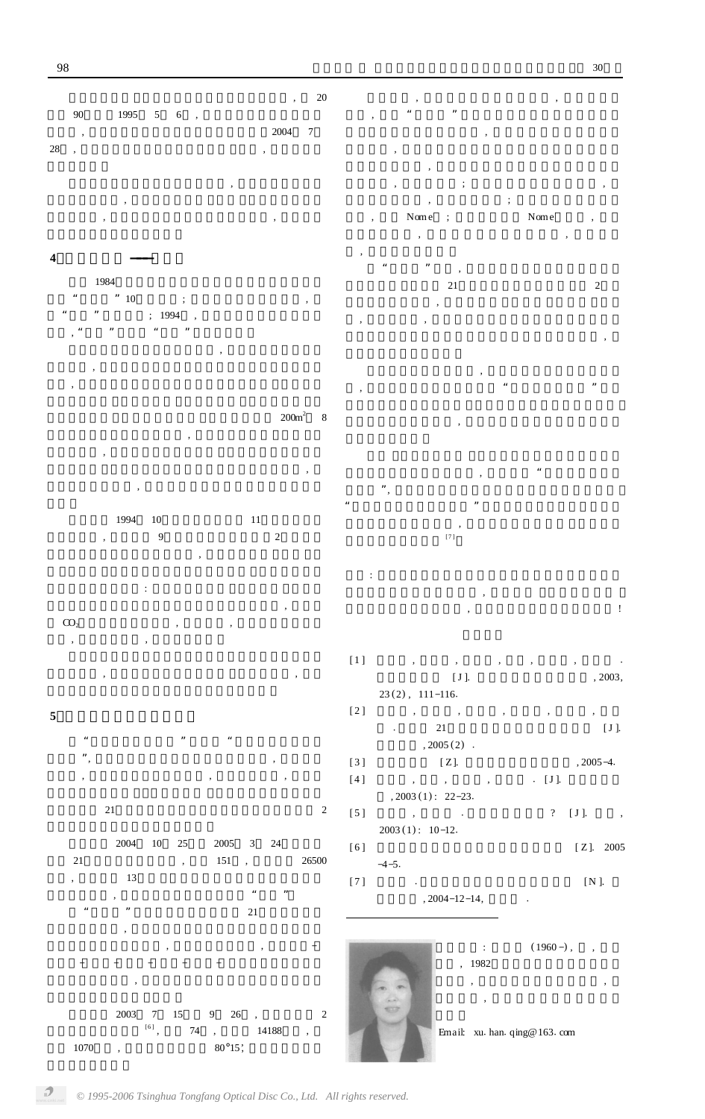90 1995  $5<sup>5</sup>$  $6\,$  $\mathbb{R}$  $28,$ 

20

 $\overline{7}$ 

 $\ddot{\phantom{a}}$ 

 $200m^2$ 

 $\,8\,$ 

2004

#### $\overline{\mathbf{4}}$ 1984  $, \,$ 10  $\ddot{\cdot}$

 $; 1994$ 

 $11\,$  $10\,$ 1994  $\overline{9}$  $\overline{c}$ 

 $\ddot{\cdot}$  $CO<sub>2</sub>$  $\overline{\phantom{a}}$ 

# $\overline{\mathbf{5}}$

21  $\overline{c}$ 





 $\sqrt{2}$  $^{[6]}$  $74\,$ 14188  $\overline{\phantom{a}}$  $80^{\circ}15$ 

 $\ddot{\cdot}$ 

Nome Nome  $\ddot{\phantom{1}}$  $\ddot{\phantom{a}}$  $\overline{c}$  $21\,$ 

 $\left[\begin{smallmatrix} 7 \end{smallmatrix}\right]$ 

 $\bar{1}$ 

 $[1]$  $\overline{\phantom{a}}$  $, 2003,$  $[\,J\,] .$  $23(2), 111-116.$ 

 $\overline{a}$  $[2]$  $\overline{\phantom{a}}$ 21  $[J]$ .  $, 2005(2)$ .

 $[3]$  $[Z]$ .  $, 2005 - 4.$ 

 $[4]$  $\overline{\phantom{a}}$ .  $\;$  [ J ].  $\cdot$  $, 2003(1): 22-23.$ 

 $\label{eq:1} \qquad \qquad \frac{1}{2} \qquad \qquad \frac{1}{2} \qquad \qquad \frac{1}{2} \qquad \qquad \frac{1}{2} \qquad \qquad \frac{1}{2} \qquad \qquad \frac{1}{2} \qquad \qquad \frac{1}{2} \qquad \qquad \frac{1}{2} \qquad \qquad \frac{1}{2} \qquad \qquad \frac{1}{2} \qquad \qquad \frac{1}{2} \qquad \qquad \frac{1}{2} \qquad \qquad \frac{1}{2} \qquad \qquad \frac{1}{2} \qquad \qquad \frac{1}{2} \qquad \qquad \frac{1}{2} \qquad \q$  $[5]$  $?$  [J].  $\overline{\phantom{a}}$  $2003(1): 10-12.$  $[6]$  $[\,\mathbf{Z}\,].$  2005

 $-4-5.$  $[N]$ .  $\left[\begin{smallmatrix} 7 \end{smallmatrix}\right]$ 

 $, 2004 - 12 - 14,$ 

 $(1960 - )$ , ,  $\mathbb{C}^{\times}$ , 1982  $\overline{\phantom{a}}$ 

Email: xu. han. qing@163. com

 $\boldsymbol{\beta}$ 

1070

 $\overline{\phantom{a}}$